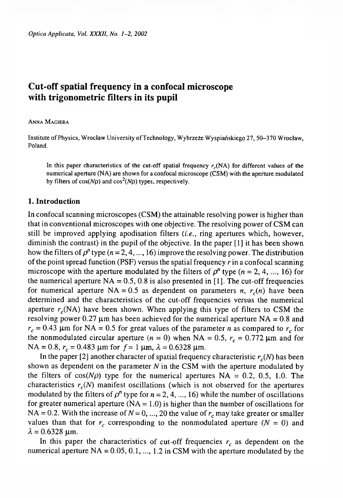# **Cut-off spatial frequency in a confocal microscope with trigonometric filters in its pupil**

### Anna Magiera

Institute of Physics, Wroclaw University of Technology, Wybrzeże Wyspiańskiego 27, 50-370 Wroclaw, Poland.

In this paper characteristics of the cut-off spatial frequency  $r_c(NA)$  for different values of the numerical aperture (NA) are shown for a confocal microscope (CSM) with the aperture modulated by filters of  $cos(N\rho)$  and  $cos^2(N\rho)$  types, respectively.

## **1. Introduction**

In confocal scanning microscopes (CSM) the attainable resolving power is higher than that in conventional microscopes with one objective. The resolving power of CSM can still be improved applying apodisation filters *(i.e.,* ring apertures which, however, diminish the contrast) in the pupil of the objective. In the paper [1] it has been shown how the filters of  $\rho^n$  type  $(n=2, 4, ..., 16)$  improve the resolving power. The distribution of the point spread function (PSF) versus the spatial frequency *r* in a confocal scanning microscope with the aperture modulated by the filters of  $\rho^{n}$  type  $(n = 2, 4, \ldots, 16)$  for the numerical aperture  $NA = 0.5$ , 0.8 is also presented in [1]. The cut-off frequencies for numerical aperture  $NA = 0.5$  as dependent on parameters *n, r<sub>c</sub>(n)* have been determined and the characteristics of the cut-off frequencies versus the numerical aperture  $r_c(NA)$  have been shown. When applying this type of filters to CSM the resolving power 0.27  $\mu$ m has been achieved for the numerical aperture NA = 0.8 and  $r_c$  = 0.43  $\mu$ m for NA = 0.5 for great values of the parameter *n* as compared to  $r_c$  for the nonmodulated circular aperture  $(n = 0)$  when NA = 0.5,  $r_c = 0.772$  µm and for NA = 0.8,  $r_c$  = 0.483  $\mu$ m for  $f = 1 \mu$ m,  $\lambda = 0.6328 \mu$ m.

In the paper [2] another character of spatial frequency characteristic  $r_c(N)$  has been shown as dependent on the parameter *N* in the CSM with the aperture modulated by the filters of  $cos(N\rho)$  type for the numerical apertures NA = 0.2, 0.5, 1.0. The characteristics  $r_c(N)$  manifest oscillations (which is not observed for the apertures modulated by the filters of  $\rho^n$  type for  $n = 2, 4, ..., 16$ ) while the number of oscillations for greater numerical aperture ( $NA = 1.0$ ) is higher than the number of oscillations for NA = 0.2. With the increase of  $N = 0, ..., 20$  the value of  $r_c$  may take greater or smaller values than that for  $r_c$  corresponding to the nonmodulated aperture  $(N = 0)$  and  $\lambda = 0.6328 \,\mu m$ .

In this paper the characteristics of cut-off frequencies  $r_c$  as dependent on the numerical aperture  $NA = 0.05, 0.1, ..., 1.2$  in CSM with the aperture modulated by the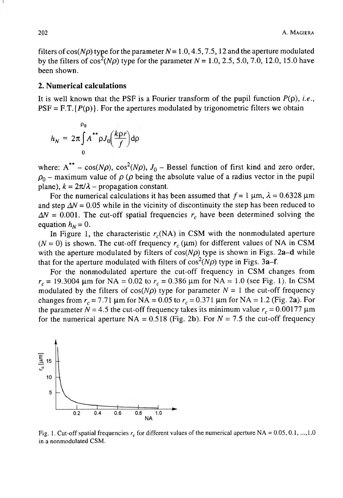filters of cos( $N\rho$ ) type for the parameter  $N = 1.0, 4.5, 7.5, 12$  and the aperture modulated by the filters of  $cos^2(N\rho)$  type for the parameter  $N = 1.0, 2.5, 5.0, 7.0, 12.0, 15.0$  have been shown.

### **2. Numerical calculations**

It is well known that the PSF is a Fourier transform of the pupil function  $P(\rho)$ , *i.e.*,  $PSF = F.T. {P(\rho)}$ . For the apertures modulated by trigonometric filters we obtain

$$
h_N = 2\pi \int_0^{\rho_0} A^{**} \rho J_0\left(\frac{k\rho r}{f}\right) d\rho
$$

where:  $A^{**}$  – cos(N $\rho$ ), cos<sup>2</sup>(N $\rho$ ),  $J_0$  – Bessel function of first kind and zero order,  $\rho_0$  – maximum value of  $\rho$  ( $\rho$  being the absolute value of a radius vector in the pupil plane),  $k = 2\pi/\lambda$  – propagation constant.

For the numerical calculations it has been assumed that  $f = 1 \mu m$ ,  $\lambda = 0.6328 \mu m$ and step  $\Delta N = 0.05$  while in the vicinity of discontinuity the step has been reduced to  $\Delta N = 0.001$ . The cut-off spatial frequencies  $r_c$  have been determined solving the equation  $h_N = 0$ .

In Figure 1, the characteristic  $r_c(NA)$  in CSM with the nonmodulated aperture  $(N = 0)$  is shown. The cut-off frequency  $r_c$  ( $\mu$ m) for different values of NA in CSM with the aperture modulated by filters of  $cos(N\rho)$  type is shown in Figs. 2a-d while that for the aperture modulated with filters of  $cos<sup>2</sup>(N\rho)$  type in Figs. 3a-f.

For the nonmodulated aperture the cut-off frequency in CSM changes from  $r_c$  = 19.3004  $\mu$ m for NA = 0.02 to  $r_c$  = 0.386  $\mu$ m for NA = 1.0 (see Fig. 1). In CSM modulated by the filters of  $cos(N\rho)$  type for parameter  $N = 1$  the cut-off frequency changes from  $r_c = 7.71 \mu m$  for NA = 0.05 to  $r_c = 0.371 \mu m$  for NA = 1.2 (Fig. 2a). For the parameter  $N = 4.5$  the cut-off frequency takes its minimum value  $r_c = 0.00177 \,\mu\text{m}$ for the numerical aperture  $NA = 0.518$  (Fig. 2b). For  $N = 7.5$  the cut-off frequency



Fig. 1. Cut-off spatial frequencies  $r_c$  for different values of the numerical aperture NA =  $0.05, 0.1, ..., 1.0$ in a nonmodulated CSM.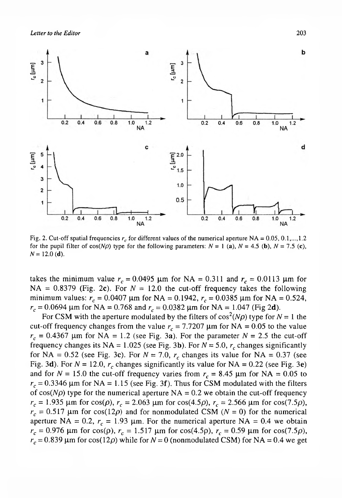*Letter to the Editor* 203



Fig. 2. Cut-off spatial frequencies  $r_c$  for different values of the numerical aperture NA =  $0.05, 0.1,..., 1.2$ for the pupil filter of  $cos(N\rho)$  type for the following parameters:  $N = 1$  (a),  $N = 4.5$  (b),  $N = 7.5$  (c),  $N = 12.0$  (d).

takes the minimum value  $r_c = 0.0495$  µm for NA = 0.311 and  $r_c = 0.0113$  µm for NA =  $0.8379$  (Fig. 2c). For  $N = 12.0$  the cut-off frequency takes the following minimum values:  $r_c = 0.0407 \mu m$  for NA = 0.1942,  $r_c = 0.0385 \mu m$  for NA = 0.524,  $r_c$  = 0.0694  $\mu$ m for NA = 0.768 and  $r_c$  = 0.0382  $\mu$ m for NA = 1.047 (Fig 2d).

For CSM with the aperture modulated by the filters of  $cos^2(N\rho)$  type for  $N = 1$  the cut-off frequency changes from the value  $r_c = 7.7207 \mu m$  for NA = 0.05 to the value  $r_c = 0.4367$  µm for NA = 1.2 (see Fig. 3a). For the parameter  $N = 2.5$  the cut-off frequency changes its NA =  $1.025$  (see Fig. 3b). For  $N = 5.0$ ,  $r_c$  changes significantly for NA =  $0.52$  (see Fig. 3c). For  $N = 7.0$ ,  $r_c$  changes its value for NA =  $0.37$  (see Fig. 3d). For  $N = 12.0$ ,  $r_c$  changes significantly its value for NA = 0.22 (see Fig. 3e) and for  $N = 15.0$  the cut-off frequency varies from  $r_c = 8.45 \mu m$  for  $NA = 0.05$  to  $r_c$  = 0.3346  $\mu$ m for NA = 1.15 (see Fig. 3f). Thus for CSM modulated with the filters of  $cos(N\rho)$  type for the numerical aperture NA = 0.2 we obtain the cut-off frequency  $r_c = 1.935 \mu m$  for cos( $\rho$ ),  $r_c = 2.063 \mu m$  for cos(4.5 $\rho$ ),  $r_c = 2.566 \mu m$  for cos(7.5 $\rho$ ),  $r_c$  = 0.517  $\mu$ m for cos(12 $\rho$ ) and for nonmodulated CSM ( $N = 0$ ) for the numerical aperture NA = 0.2,  $r_c = 1.93$  µm. For the numerical aperture NA = 0.4 we obtain  $r_c = 0.976$  µm for cos( $\rho$ ),  $r_c = 1.517$  µm for cos(4.5 $\rho$ ),  $r_c = 0.59$  µm for cos(7.5 $\rho$ ),  $r_c$  = 0.839  $\mu$ m for cos(12 $\rho$ ) while for  $N = 0$  (nonmodulated CSM) for NA = 0.4 we get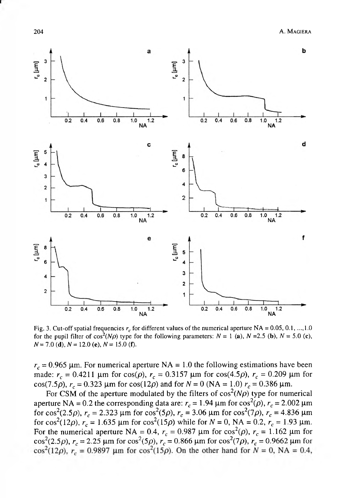

Fig. 3. Cut-off spatial frequencies  $r_c$  for different values of the numerical aperture NA = 0.05, 0.1, ..., 1.0 for the pupil filter of  $\cos^2(N\rho)$  type for the following parameters:  $N = 1$  (a),  $N = 2.5$  (b),  $N = 5.0$  (c),  $N = 7.0$  **(d)**,  $N = 12.0$  **(e)**,  $N = 15.0$  **(f)**.

 $r_c$  = 0.965 µm. For numerical aperture NA = 1.0 the following estimations have been made:  $r_c = 0.4211 \mu m$  for cos( $\rho$ ),  $r_c = 0.3157 \mu m$  for cos(4.5 $\rho$ ),  $r_c = 0.209 \mu m$  for cos(7.5 $\rho$ ),  $r_c = 0.323$  µm for cos(12 $\rho$ ) and for  $N = 0$  (NA = 1.0)  $r_c = 0.386$  µm.

For CSM of the aperture modulated by the filters of  $cos<sup>2</sup>(N\rho)$  type for numerical aperture NA = 0.2 the corresponding data are:  $r_c = 1.94 \mu m$  for  $\cos^2(\rho)$ ,  $r_c = 2.002 \mu m$ for cos<sup>2</sup>(2.5 $\rho$ ),  $r_c = 2.323 \mu$ m for cos<sup>2</sup>(5 $\rho$ ),  $r_c = 3.06 \mu$ m for cos<sup>2</sup>(7 $\rho$ ),  $r_c = 4.836 \mu$ m for cos<sup>2</sup>(12*p*),  $r_c = 1.635 \mu m$  for cos<sup>2</sup>(15*p*) while for  $N = 0$ , NA = 0.2,  $r_c = 1.93 \mu m$ . For the numerical aperture NA = 0.4,  $r_c = 0.987 \mu m$  for  $\cos^2(\rho)$ ,  $r_c = 1.162 \mu m$  for cos<sup>2</sup>(2.5*p*),  $r_c = 2.25 \mu m$  for cos<sup>2</sup>(5*p*),  $r_c = 0.866 \mu m$  for cos<sup>2</sup>(7*p*),  $r_c = 0.9662 \mu m$  for cos<sup>2</sup>(12*p*),  $r_c = 0.9897 \mu m$  for cos<sup>2</sup>(15*p*). On the other hand for  $N = 0$ , NA = 0.4,